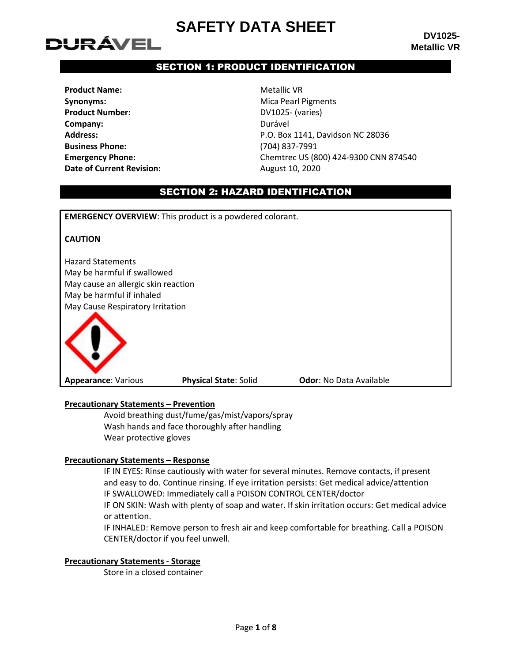# DURÁVEL

**DV1025- Metallic VR**

## SECTION 1: PRODUCT IDENTIFICATION

**Product Name:** Metallic VR **Synonyms:** Mica Pearl Pigments **Product Number:** DV1025- (varies) **Company:** Durável **Business Phone:** (704) 837-7991 **Date of Current Revision:** August 10, 2020

**Address:** P.O. Box 1141, Davidson NC 28036 **Emergency Phone:** Chemtrec US (800) 424-9300 CNN 874540

## SECTION 2: HAZARD IDENTIFICATION

**EMERGENCY OVERVIEW**: This product is a powdered colorant.

### **CAUTION**

Hazard Statements May be harmful if swallowed May cause an allergic skin reaction May be harmful if inhaled May Cause Respiratory Irritation



**Appearance**: Various **Physical State**: Solid **Odor**: No Data Available

#### **Precautionary Statements – Prevention**

Avoid breathing dust/fume/gas/mist/vapors/spray Wash hands and face thoroughly after handling Wear protective gloves

#### **Precautionary Statements – Response**

IF IN EYES: Rinse cautiously with water for several minutes. Remove contacts, if present and easy to do. Continue rinsing. If eye irritation persists: Get medical advice/attention IF SWALLOWED: Immediately call a POISON CONTROL CENTER/doctor

IF ON SKIN: Wash with plenty of soap and water. If skin irritation occurs: Get medical advice or attention.

IF INHALED: Remove person to fresh air and keep comfortable for breathing. Call a POISON CENTER/doctor if you feel unwell.

#### **Precautionary Statements - Storage**

Store in a closed container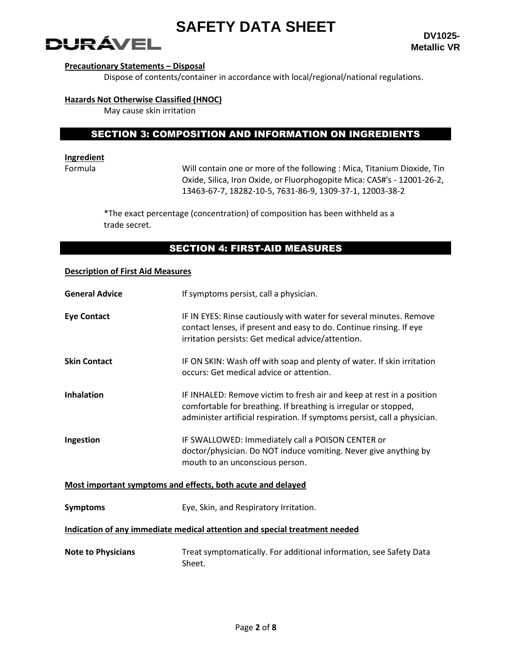

#### **Precautionary Statements – Disposal**

Dispose of contents/container in accordance with local/regional/national regulations.

#### **Hazards Not Otherwise Classified (HNOC)**

May cause skin irritation

## SECTION 3: COMPOSITION AND INFORMATION ON INGREDIENTS

## **Ingredient**

Formula Will contain one or more of the following : Mica, Titanium Dioxide, Tin Oxide, Silica, Iron Oxide, or Fluorphogopite Mica: CAS#'s - 12001-26-2, 13463-67-7, 18282-10-5, 7631-86-9, 1309-37-1, 12003-38-2

\*The exact percentage (concentration) of composition has been withheld as a trade secret.

## SECTION 4: FIRST-AID MEASURES

### **Description of First Aid Measures**

| <b>General Advice</b><br>If symptoms persist, call a physician.            |                                                                                                                                                                                                                        |  |  |  |
|----------------------------------------------------------------------------|------------------------------------------------------------------------------------------------------------------------------------------------------------------------------------------------------------------------|--|--|--|
| <b>Eye Contact</b>                                                         | IF IN EYES: Rinse cautiously with water for several minutes. Remove<br>contact lenses, if present and easy to do. Continue rinsing. If eye<br>irritation persists: Get medical advice/attention.                       |  |  |  |
| <b>Skin Contact</b>                                                        | IF ON SKIN: Wash off with soap and plenty of water. If skin irritation<br>occurs: Get medical advice or attention.                                                                                                     |  |  |  |
| <b>Inhalation</b>                                                          | IF INHALED: Remove victim to fresh air and keep at rest in a position<br>comfortable for breathing. If breathing is irregular or stopped,<br>administer artificial respiration. If symptoms persist, call a physician. |  |  |  |
| Ingestion                                                                  | IF SWALLOWED: Immediately call a POISON CENTER or<br>doctor/physician. Do NOT induce vomiting. Never give anything by<br>mouth to an unconscious person.                                                               |  |  |  |
|                                                                            | Most important symptoms and effects, both acute and delayed                                                                                                                                                            |  |  |  |
| <b>Symptoms</b>                                                            | Eye, Skin, and Respiratory Irritation.                                                                                                                                                                                 |  |  |  |
| Indication of any immediate medical attention and special treatment needed |                                                                                                                                                                                                                        |  |  |  |
| <b>Note to Physicians</b>                                                  | Treat symptomatically. For additional information, see Safety Data<br>Sheet.                                                                                                                                           |  |  |  |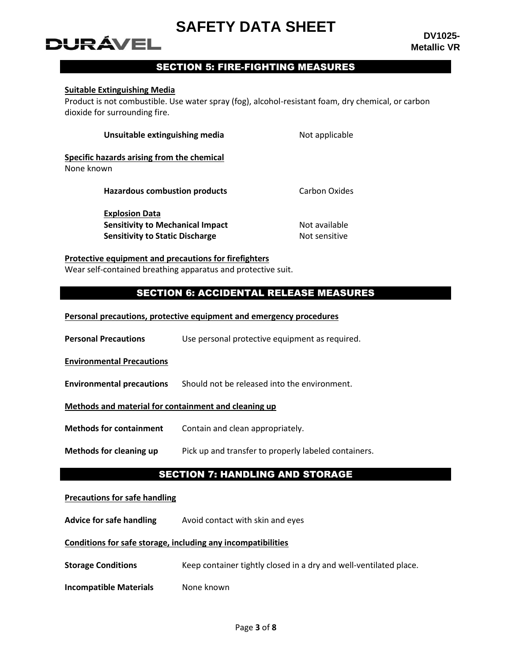# DURÁVEL

## SECTION 5: FIRE-FIGHTING MEASURES

### **Suitable Extinguishing Media**

Product is not combustible. Use water spray (fog), alcohol-resistant foam, dry chemical, or carbon dioxide for surrounding fire.

| Unsuitable extinguishing media             | Not applicable       |
|--------------------------------------------|----------------------|
| Specific hazards arising from the chemical |                      |
| None known                                 |                      |
| <b>Hazardous combustion products</b>       | <b>Carbon Oxides</b> |
| <b>Explosion Data</b>                      |                      |
| <b>Sensitivity to Mechanical Impact</b>    | Not available        |
| <b>Sensitivity to Static Discharge</b>     | Not sensitive        |

#### **Protective equipment and precautions for firefighters**

Wear self-contained breathing apparatus and protective suit.

## SECTION 6: ACCIDENTAL RELEASE MEASURES

| Personal precautions, protective equipment and emergency procedures |
|---------------------------------------------------------------------|
|---------------------------------------------------------------------|

| <b>Personal Precautions</b> | Use personal protective equipment as required. |
|-----------------------------|------------------------------------------------|
|-----------------------------|------------------------------------------------|

**Environmental Precautions**

**Environmental precautions** Should not be released into the environment.

#### **Methods and material for containment and cleaning up**

**Methods for containment** Contain and clean appropriately.

**Methods for cleaning up** Pick up and transfer to properly labeled containers.

## SECTION 7: HANDLING AND STORAGE

#### **Precautions for safe handling**

**Advice for safe handling** Avoid contact with skin and eyes

#### **Conditions for safe storage, including any incompatibilities**

**Storage Conditions** Keep container tightly closed in a dry and well-ventilated place.

**Incompatible Materials** None known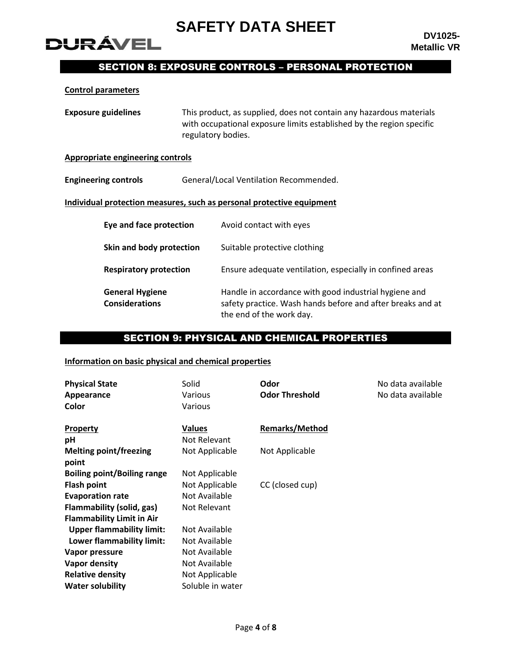

## SECTION 8: EXPOSURE CONTROLS – PERSONAL PROTECTION

#### **Control parameters**

**DURÁVEL** 

| <b>Exposure guidelines</b><br>regulatory bodies. |  | This product, as supplied, does not contain any hazardous materials<br>with occupational exposure limits established by the region specific     |  |
|--------------------------------------------------|--|-------------------------------------------------------------------------------------------------------------------------------------------------|--|
| <b>Appropriate engineering controls</b>          |  |                                                                                                                                                 |  |
| <b>Engineering controls</b>                      |  | General/Local Ventilation Recommended.                                                                                                          |  |
|                                                  |  | Individual protection measures, such as personal protective equipment                                                                           |  |
| Eye and face protection                          |  | Avoid contact with eyes                                                                                                                         |  |
| Skin and body protection                         |  | Suitable protective clothing                                                                                                                    |  |
| <b>Respiratory protection</b>                    |  | Ensure adequate ventilation, especially in confined areas                                                                                       |  |
| <b>General Hygiene</b><br><b>Considerations</b>  |  | Handle in accordance with good industrial hygiene and<br>safety practice. Wash hands before and after breaks and at<br>the end of the work day. |  |

## SECTION 9: PHYSICAL AND CHEMICAL PROPERTIES

## **Information on basic physical and chemical properties**

| <b>Physical State</b><br>Appearance<br>Color | Solid<br>Various<br>Various | Odor<br><b>Odor Threshold</b> | No data available<br>No data available |
|----------------------------------------------|-----------------------------|-------------------------------|----------------------------------------|
| Property                                     | <b>Values</b>               | <b>Remarks/Method</b>         |                                        |
| рH                                           | Not Relevant                |                               |                                        |
| <b>Melting point/freezing</b>                | Not Applicable              | Not Applicable                |                                        |
| point                                        |                             |                               |                                        |
| <b>Boiling point/Boiling range</b>           | Not Applicable              |                               |                                        |
| <b>Flash point</b>                           | Not Applicable              | CC (closed cup)               |                                        |
| <b>Evaporation rate</b>                      | Not Available               |                               |                                        |
| Flammability (solid, gas)                    | Not Relevant                |                               |                                        |
| <b>Flammability Limit in Air</b>             |                             |                               |                                        |
| <b>Upper flammability limit:</b>             | Not Available               |                               |                                        |
| Lower flammability limit:                    | Not Available               |                               |                                        |
| Vapor pressure                               | Not Available               |                               |                                        |
| Vapor density                                | Not Available               |                               |                                        |
| <b>Relative density</b>                      | Not Applicable              |                               |                                        |
| <b>Water solubility</b>                      | Soluble in water            |                               |                                        |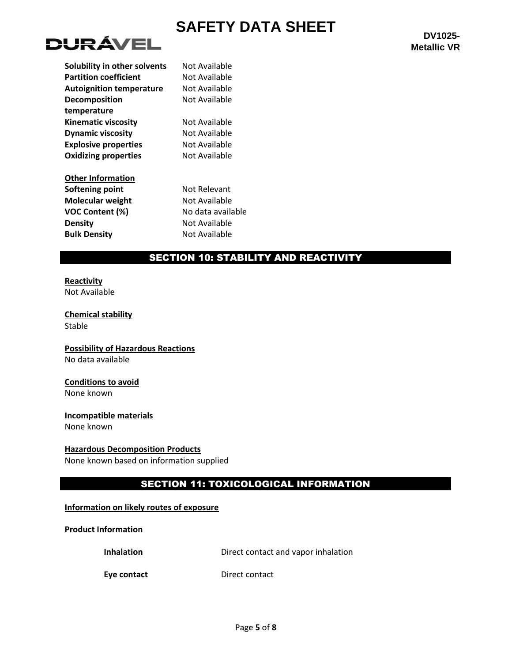

| Solubility in other solvents    | Not Available     |
|---------------------------------|-------------------|
| <b>Partition coefficient</b>    | Not Available     |
| <b>Autoignition temperature</b> | Not Available     |
| Decomposition                   | Not Available     |
| temperature                     |                   |
| <b>Kinematic viscosity</b>      | Not Available     |
| <b>Dynamic viscosity</b>        | Not Available     |
| <b>Explosive properties</b>     | Not Available     |
| <b>Oxidizing properties</b>     | Not Available     |
| <b>Other Information</b>        |                   |
| Softening point                 | Not Relevant      |
| <b>Molecular weight</b>         | Not Available     |
| <b>VOC Content (%)</b>          | No data available |
| <b>Density</b>                  | Not Available     |
| <b>Bulk Density</b>             | Not Available     |
|                                 |                   |

## SECTION 10: STABILITY AND REACTIVITY

## **Reactivity**

Not Available

**Chemical stability** Stable

**Possibility of Hazardous Reactions** No data available

## **Conditions to avoid**

None known

## **Incompatible materials**

None known

### **Hazardous Decomposition Products**

None known based on information supplied

## SECTION 11: TOXICOLOGICAL INFORMATION

### **Information on likely routes of exposure**

### **Product Information**

**Inhalation Direct contact and vapor inhalation** 

**Eye contact** Direct contact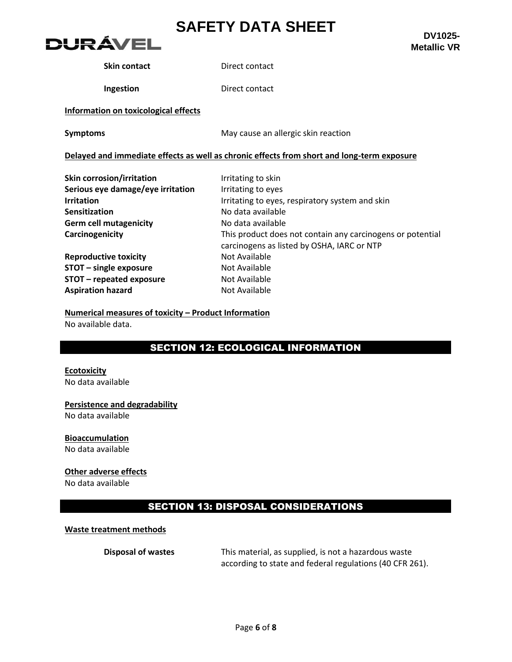

**DV1025- Metallic VR**

**Skin contact** Direct contact

**Ingestion** Direct contact

### **Information on toxicological effects**

**Symptoms** May cause an allergic skin reaction

#### **Delayed and immediate effects as well as chronic effects from short and long-term exposure**

| Skin corrosion/irritation         | Irritating to skin                                                                                       |
|-----------------------------------|----------------------------------------------------------------------------------------------------------|
| Serious eye damage/eye irritation | Irritating to eyes                                                                                       |
| <b>Irritation</b>                 | Irritating to eyes, respiratory system and skin                                                          |
| Sensitization                     | No data available                                                                                        |
| <b>Germ cell mutagenicity</b>     | No data available                                                                                        |
| Carcinogenicity                   | This product does not contain any carcinogens or potential<br>carcinogens as listed by OSHA, IARC or NTP |
| <b>Reproductive toxicity</b>      | Not Available                                                                                            |
| STOT - single exposure            | Not Available                                                                                            |
| STOT - repeated exposure          | Not Available                                                                                            |
| <b>Aspiration hazard</b>          | Not Available                                                                                            |

**Numerical measures of toxicity – Product Information** No available data.

## SECTION 12: ECOLOGICAL INFORMATION

## **Ecotoxicity**

No data available

### **Persistence and degradability**

No data available

## **Bioaccumulation**

No data available

## **Other adverse effects**

No data available

## SECTION 13: DISPOSAL CONSIDERATIONS

### **Waste treatment methods**

**Disposal of wastes** This material, as supplied, is not a hazardous waste according to state and federal regulations (40 CFR 261).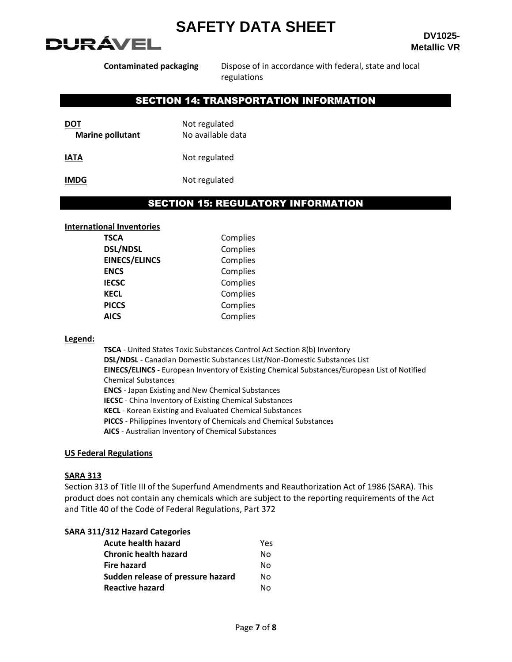

**DV1025- Metallic VR**

**Contaminated packaging** Dispose of in accordance with federal, state and local regulations

## SECTION 14: TRANSPORTATION INFORMATION

| DOT                     | Not regulated     |  |
|-------------------------|-------------------|--|
| <b>Marine pollutant</b> | No available data |  |
| IATA                    | Not regulated     |  |

**IMDG** Not regulated

## SECTION 15: REGULATORY INFORMATION

#### **International Inventories**

| <b>TSCA</b>          | Complies |
|----------------------|----------|
| <b>DSL/NDSL</b>      | Complies |
| <b>EINECS/ELINCS</b> | Complies |
| <b>ENCS</b>          | Complies |
| <b>IECSC</b>         | Complies |
| <b>KECL</b>          | Complies |
| <b>PICCS</b>         | Complies |
| <b>AICS</b>          | Complies |
|                      |          |

#### **Legend:**

**TSCA** - United States Toxic Substances Control Act Section 8(b) Inventory **DSL/NDSL** - Canadian Domestic Substances List/Non-Domestic Substances List **EINECS/ELINCS** - European Inventory of Existing Chemical Substances/European List of Notified Chemical Substances **ENCS** - Japan Existing and New Chemical Substances **IECSC** - China Inventory of Existing Chemical Substances **KECL** - Korean Existing and Evaluated Chemical Substances **PICCS** - Philippines Inventory of Chemicals and Chemical Substances **AICS** - Australian Inventory of Chemical Substances

#### **US Federal Regulations**

#### **SARA 313**

Section 313 of Title III of the Superfund Amendments and Reauthorization Act of 1986 (SARA). This product does not contain any chemicals which are subject to the reporting requirements of the Act and Title 40 of the Code of Federal Regulations, Part 372

#### **SARA 311/312 Hazard Categories**

| Acute health hazard               | Yes |
|-----------------------------------|-----|
| <b>Chronic health hazard</b>      | N٥  |
| Fire hazard                       | N٥  |
| Sudden release of pressure hazard | N٥  |
| <b>Reactive hazard</b>            | N٥  |